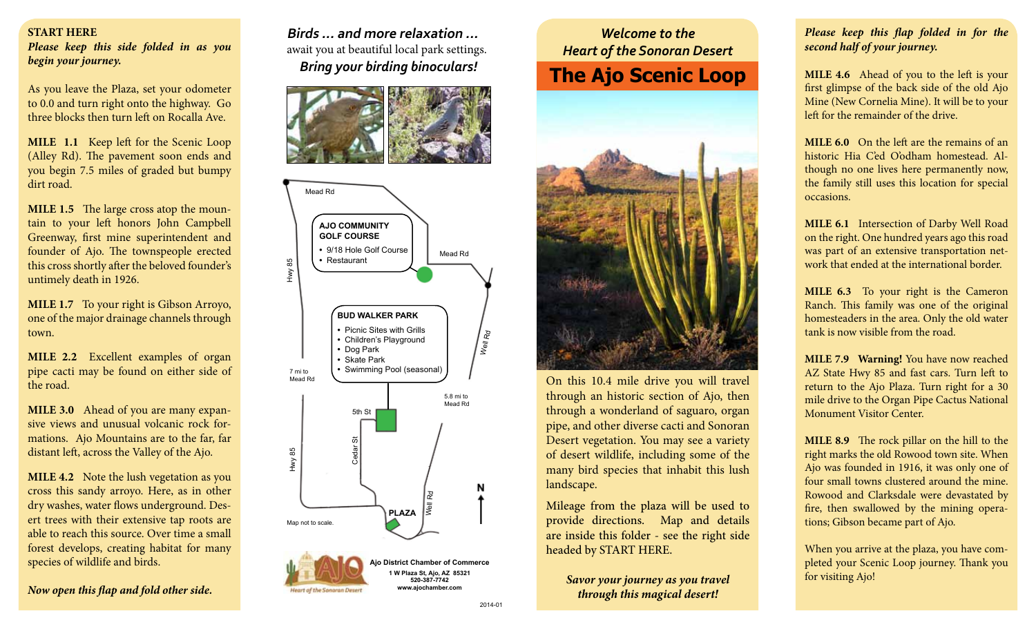## **START HERE**

*Please keep this side folded in as you begin your journey.*

As you leave the Plaza, set your odometer to 0.0 and turn right onto the highway. Go three blocks then turn left on Rocalla Ave.

**MILE 1.1** Keep left for the Scenic Loop (Alley Rd). The pavement soon ends and you begin 7.5 miles of graded but bumpy dirt road.

**MILE 1.5** The large cross atop the mountain to your left honors John Campbell Greenway, first mine superintendent and founder of Ajo. The townspeople erected this cross shortly after the beloved founder's untimely death in 1926.

**MILE 1.7** To your right is Gibson Arroyo, one of the major drainage channels through town.

**MILE 2.2** Excellent examples of organ pipe cacti may be found on either side of the road.

**MILE 3.0** Ahead of you are many expansive views and unusual volcanic rock formations. Ajo Mountains are to the far, far distant left, across the Valley of the Ajo.

**MILE 4.2** Note the lush vegetation as you cross this sandy arroyo. Here, as in other dry washes, water flows underground. Desert trees with their extensive tap roots are able to reach this source. Over time a small forest develops, creating habitat for many species of wildlife and birds.

*Now open this flap and fold other side.*

**Birds ... and more relaxation ...** await you at beautiful local park settings. *Bring your birding binoculars!* 







## *Welcome to the Heart of the Sonoran Desert* **The Ajo Scenic Loop**



On this 10.4 mile drive you will travel through an historic section of Ajo, then through a wonderland of saguaro, organ pipe, and other diverse cacti and Sonoran Desert vegetation. You may see a variety of desert wildlife, including some of the many bird species that inhabit this lush landscape.

Mileage from the plaza will be used to provide directions. Map and details are inside this folder - see the right side headed by START HERE.

*Savor your journey as you travel through this magical desert!*

## *Please keep this flap folded in for the second half of your journey.*

**MILE 4.6** Ahead of you to the left is your first glimpse of the back side of the old Ajo Mine (New Cornelia Mine). It will be to your left for the remainder of the drive.

**MILE 6.0** On the left are the remains of an historic Hia C'ed O'odham homestead. Although no one lives here permanently now, the family still uses this location for special occasions.

**MILE 6.1** Intersection of Darby Well Road on the right. One hundred years ago this road was part of an extensive transportation network that ended at the international border.

**MILE 6.3** To your right is the Cameron Ranch. This family was one of the original homesteaders in the area. Only the old water tank is now visible from the road.

**MILE 7.9 Warning!** You have now reached AZ State Hwy 85 and fast cars. Turn left to return to the Ajo Plaza. Turn right for a 30 mile drive to the Organ Pipe Cactus National Monument Visitor Center.

**MILE 8.9** The rock pillar on the hill to the right marks the old Rowood town site. When Ajo was founded in 1916, it was only one of four small towns clustered around the mine. Rowood and Clarksdale were devastated by fire, then swallowed by the mining operations; Gibson became part of Ajo.

When you arrive at the plaza, you have completed your Scenic Loop journey. Thank you for visiting Ajo!